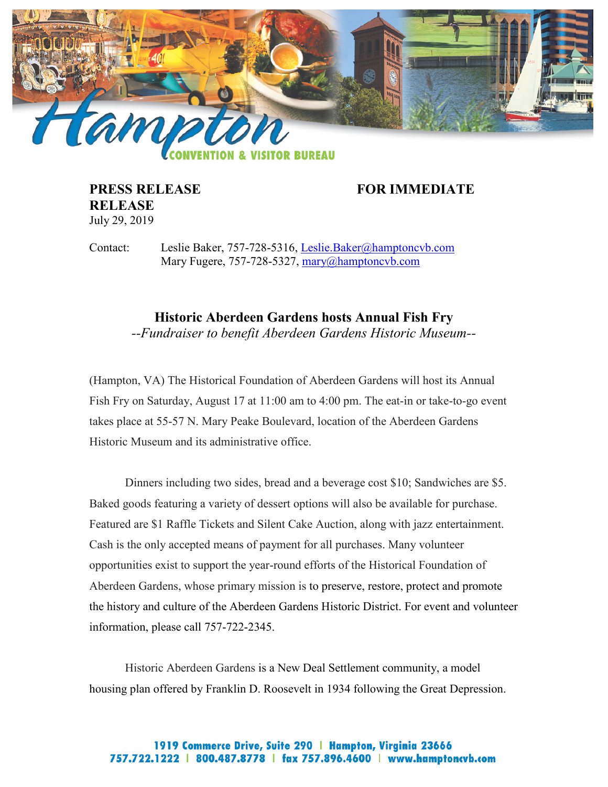

**RELEASE** July 29, 2019

**PRESS RELEASE FOR IMMEDIATE** 

Contact: Leslie Baker, 757-728-5316, [Leslie.Baker@hamptoncvb.com](mailto:Leslie.Baker@hamptoncvb.com) Mary Fugere, 757-728-5327, [mary@hamptoncvb.com](mailto:mary@hamptoncvb.com)

> **Historic Aberdeen Gardens hosts Annual Fish Fry** *--Fundraiser to benefit Aberdeen Gardens Historic Museum--*

(Hampton, VA) The Historical Foundation of Aberdeen Gardens will host its Annual Fish Fry on Saturday, August 17 at 11:00 am to 4:00 pm. The eat-in or take-to-go event takes place at 55-57 N. Mary Peake Boulevard, location of the Aberdeen Gardens Historic Museum and its administrative office.

Dinners including two sides, bread and a beverage cost \$10; Sandwiches are \$5. Baked goods featuring a variety of dessert options will also be available for purchase. Featured are \$1 Raffle Tickets and Silent Cake Auction, along with jazz entertainment. Cash is the only accepted means of payment for all purchases. Many volunteer opportunities exist to support the year-round efforts of the Historical Foundation of Aberdeen Gardens, whose primary mission is to preserve, restore, protect and promote the history and culture of the Aberdeen Gardens Historic District. For event and volunteer information, please call 757-722-2345.

Historic Aberdeen Gardens is a New Deal Settlement community, a model housing plan offered by Franklin D. Roosevelt in 1934 following the Great Depression.